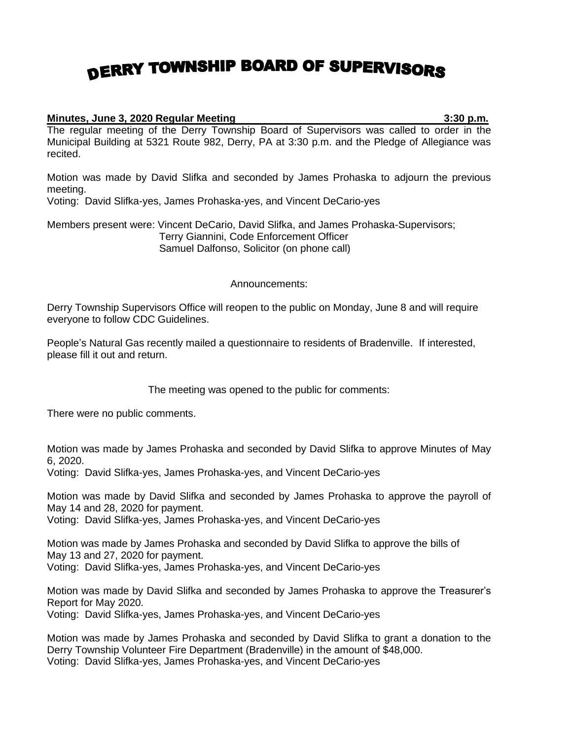## DERRY TOWNSHIP BOARD OF SUPERVISORS

## **Minutes, June 3, 2020 Regular Meeting 3:30 p.m.**

The regular meeting of the Derry Township Board of Supervisors was called to order in the Municipal Building at 5321 Route 982, Derry, PA at 3:30 p.m. and the Pledge of Allegiance was recited.

Motion was made by David Slifka and seconded by James Prohaska to adjourn the previous meeting.

Voting: David Slifka-yes, James Prohaska-yes, and Vincent DeCario-yes

Members present were: Vincent DeCario, David Slifka, and James Prohaska-Supervisors; Terry Giannini, Code Enforcement Officer Samuel Dalfonso, Solicitor (on phone call)

## Announcements:

Derry Township Supervisors Office will reopen to the public on Monday, June 8 and will require everyone to follow CDC Guidelines.

People's Natural Gas recently mailed a questionnaire to residents of Bradenville. If interested, please fill it out and return.

The meeting was opened to the public for comments:

There were no public comments.

Motion was made by James Prohaska and seconded by David Slifka to approve Minutes of May 6, 2020.

Voting: David Slifka-yes, James Prohaska-yes, and Vincent DeCario-yes

Motion was made by David Slifka and seconded by James Prohaska to approve the payroll of May 14 and 28, 2020 for payment.

Voting: David Slifka-yes, James Prohaska-yes, and Vincent DeCario-yes

Motion was made by James Prohaska and seconded by David Slifka to approve the bills of May 13 and 27, 2020 for payment. Voting: David Slifka-yes, James Prohaska-yes, and Vincent DeCario-yes

Motion was made by David Slifka and seconded by James Prohaska to approve the Treasurer's Report for May 2020.

Voting: David Slifka-yes, James Prohaska-yes, and Vincent DeCario-yes

Motion was made by James Prohaska and seconded by David Slifka to grant a donation to the Derry Township Volunteer Fire Department (Bradenville) in the amount of \$48,000. Voting: David Slifka-yes, James Prohaska-yes, and Vincent DeCario-yes